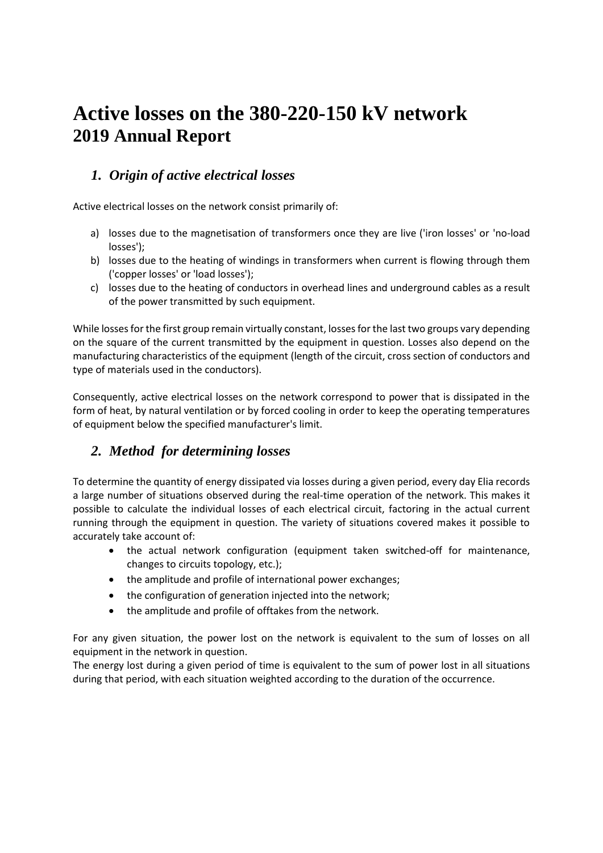# **Active losses on the 380-220-150 kV network 2019 Annual Report**

### *1. Origin of active electrical losses*

Active electrical losses on the network consist primarily of:

- a) losses due to the magnetisation of transformers once they are live ('iron losses' or 'no-load losses');
- b) losses due to the heating of windings in transformers when current is flowing through them ('copper losses' or 'load losses');
- c) losses due to the heating of conductors in overhead lines and underground cables as a result of the power transmitted by such equipment.

While losses for the first group remain virtually constant, losses for the last two groups vary depending on the square of the current transmitted by the equipment in question. Losses also depend on the manufacturing characteristics of the equipment (length of the circuit, cross section of conductors and type of materials used in the conductors).

Consequently, active electrical losses on the network correspond to power that is dissipated in the form of heat, by natural ventilation or by forced cooling in order to keep the operating temperatures of equipment below the specified manufacturer's limit.

# *2. Method for determining losses*

To determine the quantity of energy dissipated via losses during a given period, every day Elia records a large number of situations observed during the real-time operation of the network. This makes it possible to calculate the individual losses of each electrical circuit, factoring in the actual current running through the equipment in question. The variety of situations covered makes it possible to accurately take account of:

- the actual network configuration (equipment taken switched-off for maintenance, changes to circuits topology, etc.);
- the amplitude and profile of international power exchanges;
- the configuration of generation injected into the network;
- the amplitude and profile of offtakes from the network.

For any given situation, the power lost on the network is equivalent to the sum of losses on all equipment in the network in question.

The energy lost during a given period of time is equivalent to the sum of power lost in all situations during that period, with each situation weighted according to the duration of the occurrence.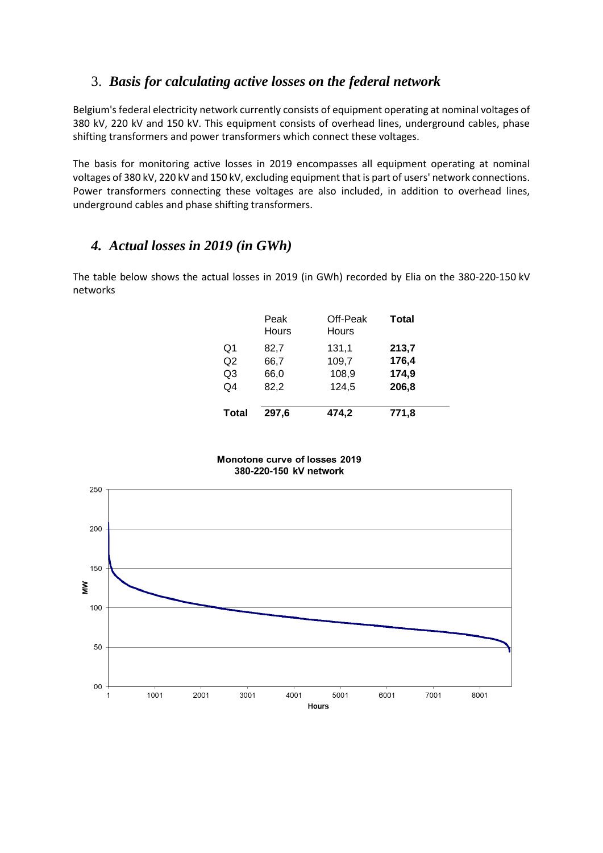#### 3. *Basis for calculating active losses on the federal network*

Belgium's federal electricity network currently consists of equipment operating at nominal voltages of 380 kV, 220 kV and 150 kV. This equipment consists of overhead lines, underground cables, phase shifting transformers and power transformers which connect these voltages.

The basis for monitoring active losses in 2019 encompasses all equipment operating at nominal voltages of 380 kV, 220 kV and 150 kV, excluding equipment that is part of users' network connections. Power transformers connecting these voltages are also included, in addition to overhead lines, underground cables and phase shifting transformers.

## *4. Actual losses in 2019 (in GWh)*

The table below shows the actual losses in 2019 (in GWh) recorded by Elia on the 380-220-150 kV networks

|                | Peak<br>Hours | Off-Peak<br>Hours | <b>Total</b> |
|----------------|---------------|-------------------|--------------|
| Q1             | 82,7          | 131,1             | 213,7        |
| Q <sub>2</sub> | 66,7          | 109,7             | 176,4        |
| Q3             | 66,0          | 108,9             | 174,9        |
| O4             | 82,2          | 124,5             | 206,8        |
| <b>Total</b>   | 297,6         | 474,2             | 771,8        |

Monotone curve of losses 2019 380-220-150 kV network

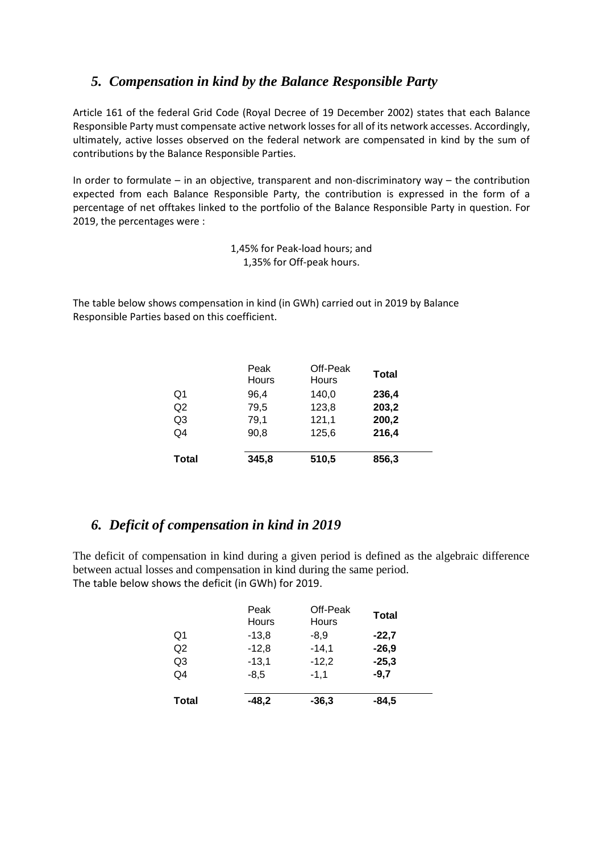#### *5. Compensation in kind by the Balance Responsible Party*

Article 161 of the federal Grid Code (Royal Decree of 19 December 2002) states that each Balance Responsible Party must compensate active network losses for all of its network accesses. Accordingly, ultimately, active losses observed on the federal network are compensated in kind by the sum of contributions by the Balance Responsible Parties.

In order to formulate – in an objective, transparent and non-discriminatory way – the contribution expected from each Balance Responsible Party, the contribution is expressed in the form of a percentage of net offtakes linked to the portfolio of the Balance Responsible Party in question. For 2019, the percentages were :

> 1,45% for Peak-load hours; and 1,35% for Off-peak hours.

The table below shows compensation in kind (in GWh) carried out in 2019 by Balance Responsible Parties based on this coefficient.

|                | Peak<br>Hours | Off-Peak<br>Hours | Total |
|----------------|---------------|-------------------|-------|
| Q1             | 96.4          | 140,0             | 236,4 |
| Q2             | 79,5          | 123,8             | 203,2 |
| Q <sub>3</sub> | 79,1          | 121,1             | 200,2 |
| Q4             | 90,8          | 125,6             | 216,4 |
| <b>Total</b>   | 345,8         | 510,5             | 856,3 |

#### *6. Deficit of compensation in kind in 2019*

The deficit of compensation in kind during a given period is defined as the algebraic difference between actual losses and compensation in kind during the same period. The table below shows the deficit (in GWh) for 2019.

|                | Peak<br>Hours | Off-Peak<br>Hours | Total   |
|----------------|---------------|-------------------|---------|
| Q1             | $-13,8$       | $-8.9$            | $-22.7$ |
| Q2             | $-12,8$       | $-14,1$           | $-26,9$ |
| Q <sub>3</sub> | $-13,1$       | $-12,2$           | $-25,3$ |
| Q4             | $-8.5$        | $-1,1$            | $-9.7$  |
| <b>Total</b>   | $-48,2$       | $-36,3$           | $-84,5$ |